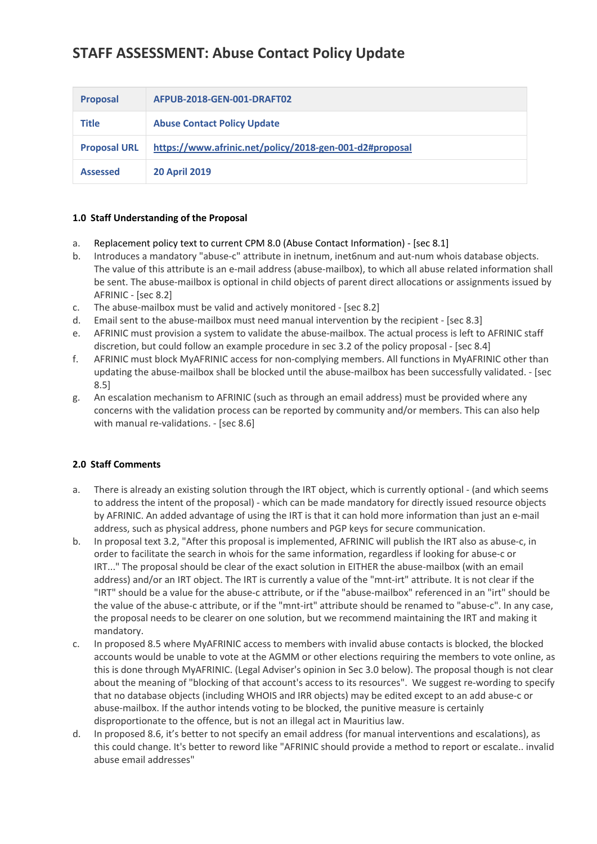# **STAFF ASSESSMENT: Abuse Contact Policy Update**

| <b>Proposal</b>     | AFPUB-2018-GEN-001-DRAFT02                              |
|---------------------|---------------------------------------------------------|
| <b>Title</b>        | <b>Abuse Contact Policy Update</b>                      |
| <b>Proposal URL</b> | https://www.afrinic.net/policy/2018-gen-001-d2#proposal |
| <b>Assessed</b>     | <b>20 April 2019</b>                                    |

## **1.0 Staff Understanding of the Proposal**

- a. Replacement policy text to current CPM 8.0 (Abuse Contact Information) [sec 8.1]
- b. Introduces a mandatory "abuse-c" attribute in inetnum, inet6num and aut-num whois database objects. The value of this attribute is an e-mail address (abuse-mailbox), to which all abuse related information shall be sent. The abuse-mailbox is optional in child objects of parent direct allocations or assignments issued by AFRINIC - [sec 8.2]
- c. The abuse-mailbox must be valid and actively monitored [sec 8.2]
- d. Email sent to the abuse-mailbox must need manual intervention by the recipient [sec 8.3]
- e. AFRINIC must provision a system to validate the abuse-mailbox. The actual process is left to AFRINIC staff discretion, but could follow an example procedure in sec 3.2 of the policy proposal - [sec 8.4]
- f. AFRINIC must block MyAFRINIC access for non-complying members. All functions in MyAFRINIC other than updating the abuse-mailbox shall be blocked until the abuse-mailbox has been successfully validated. - [sec 8.5]
- g. An escalation mechanism to AFRINIC (such as through an email address) must be provided where any concerns with the validation process can be reported by community and/or members. This can also help with manual re-validations. - [sec 8.6]

## **2.0 Staff Comments**

- a. There is already an existing solution through the IRT object, which is currently optional (and which seems to address the intent of the proposal) - which can be made mandatory for directly issued resource objects by AFRINIC. An added advantage of using the IRT is that it can hold more information than just an e-mail address, such as physical address, phone numbers and PGP keys for secure communication.
- b. In proposal text 3.2, "After this proposal is implemented, AFRINIC will publish the IRT also as abuse-c, in order to facilitate the search in whois for the same information, regardless if looking for abuse-c or IRT..." The proposal should be clear of the exact solution in EITHER the abuse-mailbox (with an email address) and/or an IRT object. The IRT is currently a value of the "mnt-irt" attribute. It is not clear if the "IRT" should be a value for the abuse-c attribute, or if the "abuse-mailbox" referenced in an "irt" should be the value of the abuse-c attribute, or if the "mnt-irt" attribute should be renamed to "abuse-c". In any case, the proposal needs to be clearer on one solution, but we recommend maintaining the IRT and making it mandatory.
- c. In proposed 8.5 where MyAFRINIC access to members with invalid abuse contacts is blocked, the blocked accounts would be unable to vote at the AGMM or other elections requiring the members to vote online, as this is done through MyAFRINIC. (Legal Adviser's opinion in Sec 3.0 below). The proposal though is not clear about the meaning of "blocking of that account's access to its resources". We suggest re-wording to specify that no database objects (including WHOIS and IRR objects) may be edited except to an add abuse-c or abuse-mailbox. If the author intends voting to be blocked, the punitive measure is certainly disproportionate to the offence, but is not an illegal act in Mauritius law.
- d. In proposed 8.6, it's better to not specify an email address (for manual interventions and escalations), as this could change. It's better to reword like "AFRINIC should provide a method to report or escalate.. invalid abuse email addresses"